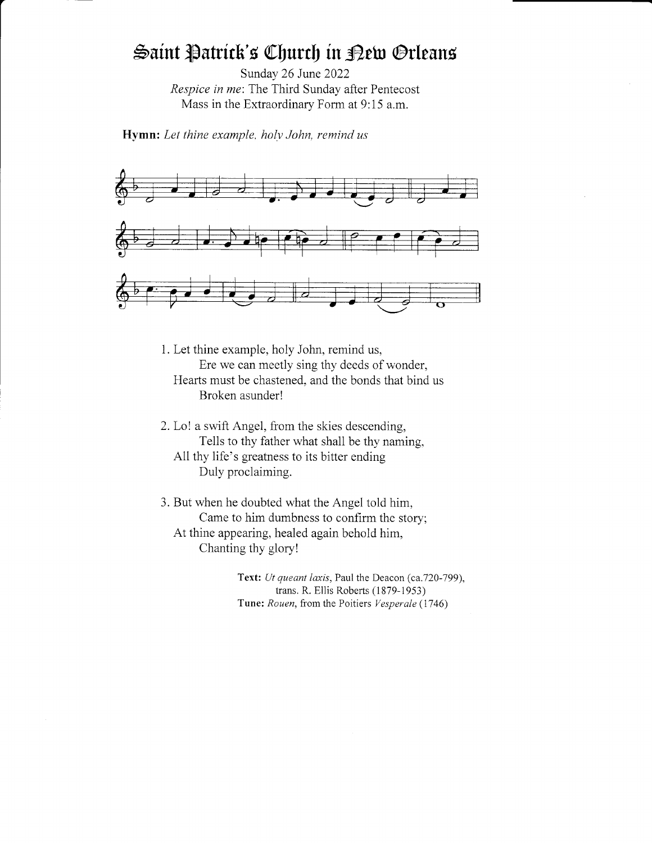# Saint Patrick's Church in <sub>Pet</sub> Orleans

Sunday 26 June 2022 Respice in me: The Third Sunday after Pentecost Mass in the Extraordinary Form at 9:15 a.m.

Hymn: Let thine example, holy John, remind us



1. Let thine example, holy John, remind us, Ere we can meetly sing thy deeds of wonder, Hearts must be chastened, and the bonds that bind us Broken asunder!

- 2. Lo! a swift Angel, from the skies descending, Tells to thy father what shall be thy naming. All thy life's greatness to its bitter ending Duly proclaiming.
- 3. But when he doubted what the Angel told him, Came to him dumbness to confirm the story; At thine appearing, healed again behold him, Chanting thy gloryl

Text: Ut queant laxis, Paul the Deacon (ca.720-799), trans. R. Ellis Roberts (1879-1953) Tune: Rouen, from the Poitiers Vesperale (1746)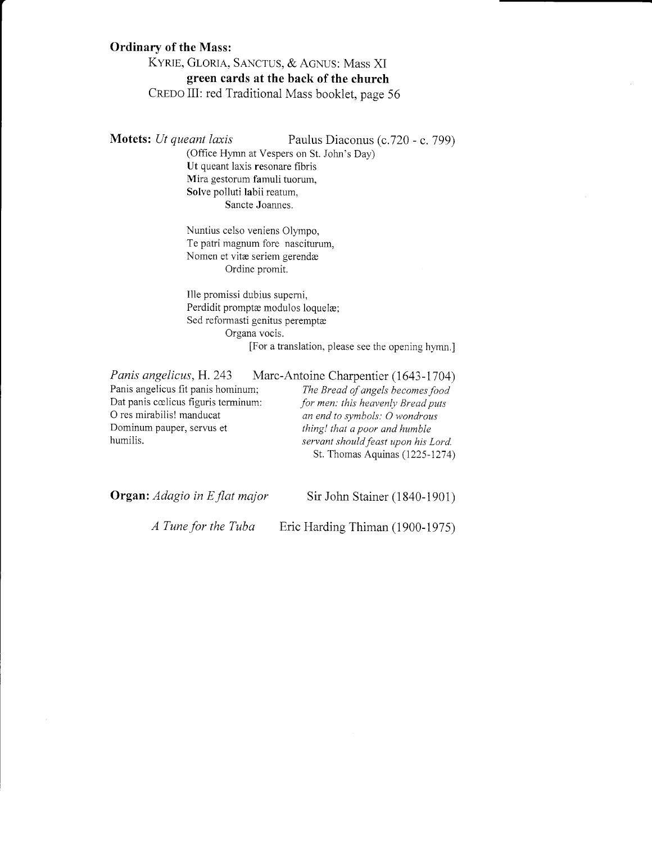## Ordinary of the Mass:

KYRIE, GLORIA, SANCTUS, & AGNUS: Mass XI green cards at the back of the church CREDO III: red Traditional Mass booklet, page 56

Motets: *Ut queant laxis* Paulus Diaconus (c.720 - c. 799)

(Office Hymn at Vespers on St. John's Day) Ut queant laxis resonare fibris Mira gestorum famuli tuorum, Solve polluti Iabii reatum, Sancte Joannes.

Nuntius celso veniens Olympo, Te patri magnum fore nasciturum, Nomen et vitæ seriem gerendæ Ordine promit.

Ille promissi dubius supemi, Perdidit promptæ modulos loquelæ; Sed reformasti genitus peremptæ Organa vocis.

[For a translation, please see the opening hymn.]

Panis angelicus, H. 243 Marc-Antoine Charpentier (1643-1704) Panis angelicus fit panis hominum; The Bread of angels becomes food<br>Dat panis cœlicus figuris terminum: for men: this heavenly Bread puts Dat panis cœlicus figuris terminum:<br>O res mirabilis! manducat O res mirabilis! manducat an end to symbols: O wondrous<br>Dominum pauper, servus et thing! that a poor and humble Dominum pauper, servus et thing! that a poor and humble<br>humilis. Servant should feast upon his l

servant should feast upon his Lord. St. Thomas Aquinas (1225-1274)

Organ: Adagio in E flat major Sir John Stainer (1840-1901) <sup>A</sup>Tune for the Tuba Eric Harding Thiman (1900-1975)